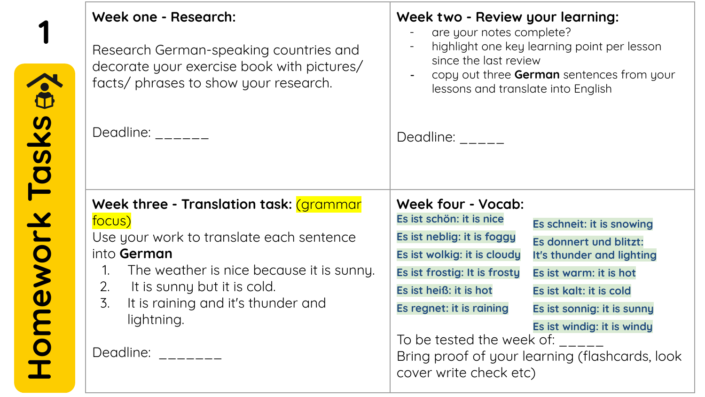| Week one - Research:<br>Research German-speaking countries and<br>decorate your exercise book with pictures/<br>facts/ phrases to show your research.                                                                                                                                                 | Week two - Review your learning:<br>are your notes complete?<br>highlight one key learning point per lesson<br>since the last review<br>copy out three German sentences from your<br>lessons and translate into English                                                                                                                                                                                                                                                                                                                                                                               |
|-------------------------------------------------------------------------------------------------------------------------------------------------------------------------------------------------------------------------------------------------------------------------------------------------------|-------------------------------------------------------------------------------------------------------------------------------------------------------------------------------------------------------------------------------------------------------------------------------------------------------------------------------------------------------------------------------------------------------------------------------------------------------------------------------------------------------------------------------------------------------------------------------------------------------|
| Deadline: $\frac{1}{2}$                                                                                                                                                                                                                                                                               | Deadline:                                                                                                                                                                                                                                                                                                                                                                                                                                                                                                                                                                                             |
| Week three - Translation task: (grammar<br>focus)<br>Use your work to translate each sentence<br>into German<br>The weather is nice because it is sunny.<br>$\mathcal{1}$ .<br>It is sunny but it is cold.<br>2.<br>$\overline{3}$ .<br>It is raining and it's thunder and<br>lightning.<br>Deadline: | Week four - Vocab:<br>Es ist schön: it is nice<br>Es schneit: it is snowing<br>Es ist neblig: it is foggy<br>Es donnert und blitzt:<br>Es ist wolkig: it is cloudy<br>It's thunder and lighting<br>Es ist frostig: It is frosty<br>Es ist warm: it is hot<br>Es ist heiß: it is hot<br>Es ist kalt: it is cold<br>Es regnet: it is raining<br>Es ist sonnig: it is sunny<br>Es ist windig: it is windy<br>To be tested the week of: The state of the state of the state of the state of the state of the state of the sta<br>Bring proof of your learning (flashcards, look<br>cover write check etc) |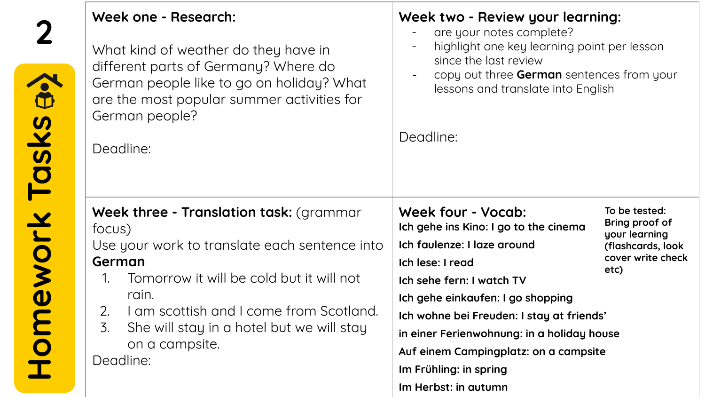| 2                 | Week one - Research:<br>What kind of weather do they have in<br>different parts of Germany? Where do<br>German people like to go on holiday? What<br>are the most popular summer activities for<br>German people?<br>Deadline:                                                                                         | Week two - Review your learning:<br>are your notes complete?<br>highlight one key learning point per lesson<br>since the last review<br>copy out three German sentences from your<br>lessons and translate into English<br>Deadline:                                                                                                                                                                                                                                         |
|-------------------|------------------------------------------------------------------------------------------------------------------------------------------------------------------------------------------------------------------------------------------------------------------------------------------------------------------------|------------------------------------------------------------------------------------------------------------------------------------------------------------------------------------------------------------------------------------------------------------------------------------------------------------------------------------------------------------------------------------------------------------------------------------------------------------------------------|
| Homework Tasks a. | Week three - Translation task: (grammar<br>focus)<br>Use your work to translate each sentence into<br>German<br>Tomorrow it will be cold but it will not<br>$\mathbf{1}$ .<br>rain.<br>I am scottish and I come from Scotland.<br>2.<br>3.<br>She will stay in a hotel but we will stay<br>on a campsite.<br>Deadline: | Week four - Vocab:<br>To be tested:<br>Bring proof of<br>Ich gehe ins Kino: I go to the cinema<br>your learning<br>Ich faulenze: I laze around<br>(flashcards, look<br>cover write check<br>Ich lese: I read<br>etc)<br>Ich sehe fern: I watch TV<br>Ich gehe einkaufen: I go shopping<br>Ich wohne bei Freuden: I stay at friends'<br>in einer Ferienwohnung: in a holiday house<br>Auf einem Campingplatz: on a campsite<br>Im Frühling: in spring<br>Im Herbst: in autumn |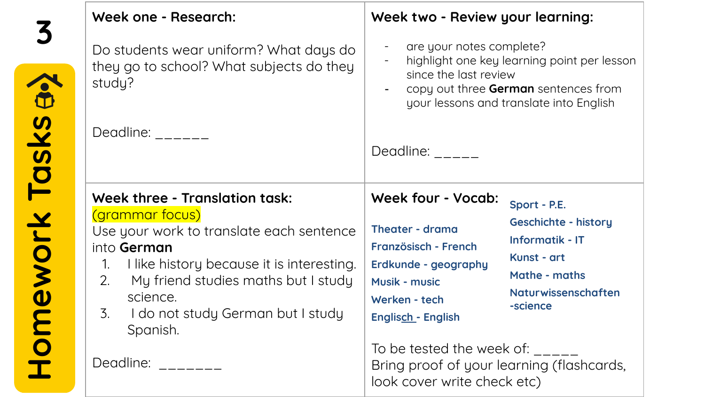|                | Week one - Research:                                                                                                                                                                                                                                                 | Week two - Review your learning:                                                                                                                                   |                                                                                                                                          |
|----------------|----------------------------------------------------------------------------------------------------------------------------------------------------------------------------------------------------------------------------------------------------------------------|--------------------------------------------------------------------------------------------------------------------------------------------------------------------|------------------------------------------------------------------------------------------------------------------------------------------|
|                | Do students wear uniform? What days do<br>they go to school? What subjects do they<br>study?                                                                                                                                                                         | are your notes complete?<br>since the last review                                                                                                                  | highlight one key learning point per lesson<br>copy out three German sentences from<br>your lessons and translate into English           |
|                | Deadline: $\frac{1}{2}$                                                                                                                                                                                                                                              | Deadline:                                                                                                                                                          |                                                                                                                                          |
| 1.<br>2.<br>3. | <b>Week three - Translation task:</b><br>(grammar focus)<br>Use your work to translate each sentence<br>into German<br>I like history because it is interesting.<br>My friend studies maths but I study<br>science.<br>I do not study German but I study<br>Spanish. | <b>Week four - Vocab:</b><br><b>Theater - drama</b><br>Französisch - French<br>Erdkunde - geography<br><b>Musik - music</b><br>Werken - tech<br>Englisch - English | Sport - P.E.<br><b>Geschichte - history</b><br><b>Informatik - IT</b><br>Kunst - art<br>Mathe - maths<br>Naturwissenschaften<br>-science |
|                | Deadline: Deadline:                                                                                                                                                                                                                                                  | To be tested the week of:<br>Bring proof of your learning (flashcards,<br>look cover write check etc)                                                              |                                                                                                                                          |